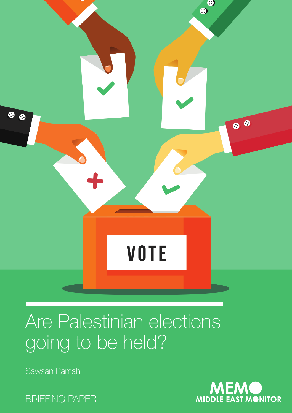

# Are Palestinian elections going to be held?

Sawsan Ramahi



BRIEFING PAPER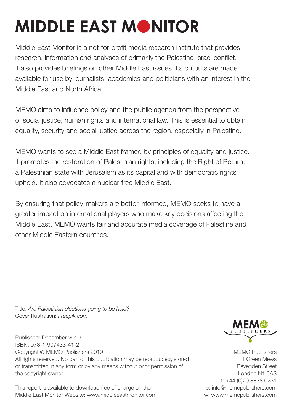# **MIDDLE EAST MONITOR**

Middle East Monitor is a not-for-profit media research institute that provides research, information and analyses of primarily the Palestine-Israel conflict. It also provides briefings on other Middle East issues. Its outputs are made available for use by journalists, academics and politicians with an interest in the Middle East and North Africa.

MEMO aims to influence policy and the public agenda from the perspective of social justice, human rights and international law. This is essential to obtain equality, security and social justice across the region, especially in Palestine.

MEMO wants to see a Middle East framed by principles of equality and justice. It promotes the restoration of Palestinian rights, including the Right of Return, a Palestinian state with Jerusalem as its capital and with democratic rights upheld. It also advocates a nuclear-free Middle East.

By ensuring that policy-makers are better informed, MEMO seeks to have a greater impact on international players who make key decisions affecting the Middle East. MEMO wants fair and accurate media coverage of Palestine and other Middle Eastern countries.

Title: *Are Palestinian elections going to be held?* Cover Illustration: *Freepik.com* 

Published: December 2019 ISBN: 978-1-907433-41-2 Copyright © MEMO Publishers 2019 All rights reserved. No part of this publication may be reproduced, stored or transmitted in any form or by any means without prior permission of the copyright owner.

This report is available to download free of charge on the Middle East Monitor Website: www.middleeastmonitor.com



MEMO Publishers 1 Green Mews Bevenden Street London N1 6AS t: +44 (0)20 8838 0231 e: info@memopublishers.com w: www.memopublishers.com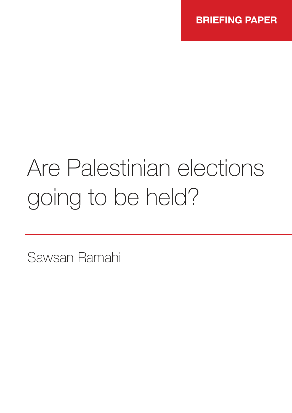# Are Palestinian elections going to be held?

Sawsan Ramahi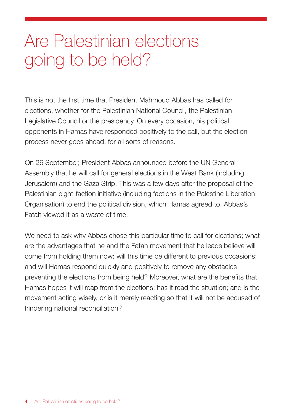# Are Palestinian elections going to be held?

This is not the first time that President Mahmoud Abbas has called for elections, whether for the Palestinian National Council, the Palestinian Legislative Council or the presidency. On every occasion, his political opponents in Hamas have responded positively to the call, but the election process never goes ahead, for all sorts of reasons.

On 26 September, President Abbas announced before the UN General Assembly that he will call for general elections in the West Bank (including Jerusalem) and the Gaza Strip. This was a few days after the proposal of the Palestinian eight-faction initiative (including factions in the Palestine Liberation Organisation) to end the political division, which Hamas agreed to. Abbas's Fatah viewed it as a waste of time.

We need to ask why Abbas chose this particular time to call for elections; what are the advantages that he and the Fatah movement that he leads believe will come from holding them now; will this time be different to previous occasions; and will Hamas respond quickly and positively to remove any obstacles preventing the elections from being held? Moreover, what are the benefits that Hamas hopes it will reap from the elections; has it read the situation; and is the movement acting wisely, or is it merely reacting so that it will not be accused of hindering national reconciliation?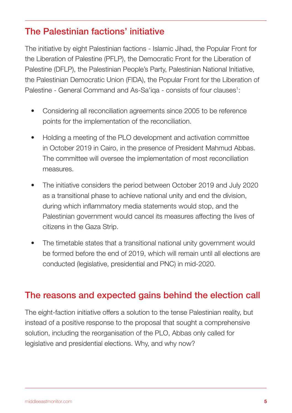## The Palestinian factions' initiative

The initiative by eight Palestinian factions - Islamic Jihad, the Popular Front for the Liberation of Palestine (PFLP), the Democratic Front for the Liberation of Palestine (DFLP), the Palestinian People's Party, Palestinian National Initiative, the Palestinian Democratic Union (FIDA), the Popular Front for the Liberation of Palestine - General Command and As-Sa'iqa - consists of four clauses<sup>1</sup>:

- Considering all reconciliation agreements since 2005 to be reference points for the implementation of the reconciliation.
- Holding a meeting of the PLO development and activation committee in October 2019 in Cairo, in the presence of President Mahmud Abbas. The committee will oversee the implementation of most reconciliation measures.
- The initiative considers the period between October 2019 and July 2020 as a transitional phase to achieve national unity and end the division, during which inflammatory media statements would stop, and the Palestinian government would cancel its measures affecting the lives of citizens in the Gaza Strip.
- The timetable states that a transitional national unity government would be formed before the end of 2019, which will remain until all elections are conducted (legislative, presidential and PNC) in mid-2020.

#### The reasons and expected gains behind the election call

The eight-faction initiative offers a solution to the tense Palestinian reality, but instead of a positive response to the proposal that sought a comprehensive solution, including the reorganisation of the PLO, Abbas only called for legislative and presidential elections. Why, and why now?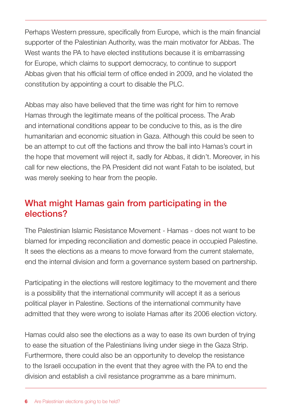Perhaps Western pressure, specifically from Europe, which is the main financial supporter of the Palestinian Authority, was the main motivator for Abbas. The West wants the PA to have elected institutions because it is embarrassing for Europe, which claims to support democracy, to continue to support Abbas given that his official term of office ended in 2009, and he violated the constitution by appointing a court to disable the PLC.

Abbas may also have believed that the time was right for him to remove Hamas through the legitimate means of the political process. The Arab and international conditions appear to be conducive to this, as is the dire humanitarian and economic situation in Gaza. Although this could be seen to be an attempt to cut off the factions and throw the ball into Hamas's court in the hope that movement will reject it, sadly for Abbas, it didn't. Moreover, in his call for new elections, the PA President did not want Fatah to be isolated, but was merely seeking to hear from the people.

## What might Hamas gain from participating in the elections?

The Palestinian Islamic Resistance Movement - Hamas - does not want to be blamed for impeding reconciliation and domestic peace in occupied Palestine. It sees the elections as a means to move forward from the current stalemate, end the internal division and form a governance system based on partnership.

Participating in the elections will restore legitimacy to the movement and there is a possibility that the international community will accept it as a serious political player in Palestine. Sections of the international community have admitted that they were wrong to isolate Hamas after its 2006 election victory.

Hamas could also see the elections as a way to ease its own burden of trying to ease the situation of the Palestinians living under siege in the Gaza Strip. Furthermore, there could also be an opportunity to develop the resistance to the Israeli occupation in the event that they agree with the PA to end the division and establish a civil resistance programme as a bare minimum.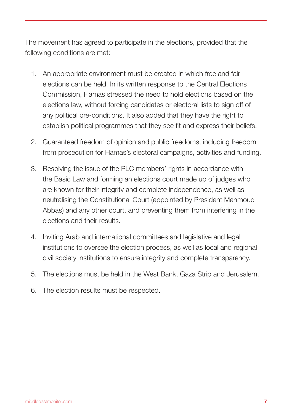The movement has agreed to participate in the elections, provided that the following conditions are met:

- 1. An appropriate environment must be created in which free and fair elections can be held. In its written response to the Central Elections Commission, Hamas stressed the need to hold elections based on the elections law, without forcing candidates or electoral lists to sign off of any political pre-conditions. It also added that they have the right to establish political programmes that they see fit and express their beliefs.
- 2. Guaranteed freedom of opinion and public freedoms, including freedom from prosecution for Hamas's electoral campaigns, activities and funding.
- 3. Resolving the issue of the PLC members' rights in accordance with the Basic Law and forming an elections court made up of judges who are known for their integrity and complete independence, as well as neutralising the Constitutional Court (appointed by President Mahmoud Abbas) and any other court, and preventing them from interfering in the elections and their results.
- 4. Inviting Arab and international committees and legislative and legal institutions to oversee the election process, as well as local and regional civil society institutions to ensure integrity and complete transparency.
- 5. The elections must be held in the West Bank, Gaza Strip and Jerusalem.
- 6. The election results must be respected.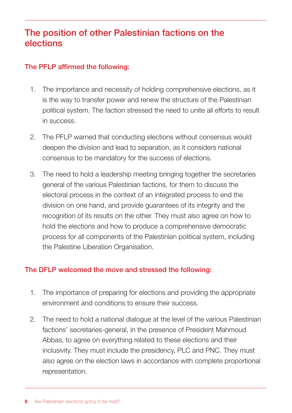## The position of other Palestinian factions on the elections

#### The PFLP affirmed the following:

- 1. The importance and necessity of holding comprehensive elections, as it is the way to transfer power and renew the structure of the Palestinian political system. The faction stressed the need to unite all efforts to result in success.
- 2. The PFLP warned that conducting elections without consensus would deepen the division and lead to separation, as it considers national consensus to be mandatory for the success of elections.
- 3. The need to hold a leadership meeting bringing together the secretaries general of the various Palestinian factions, for them to discuss the electoral process in the context of an integrated process to end the division on one hand, and provide guarantees of its integrity and the recognition of its results on the other. They must also agree on how to hold the elections and how to produce a comprehensive democratic process for all components of the Palestinian political system, including the Palestine Liberation Organisation.

#### The DFLP welcomed the move and stressed the following:

- 1. The importance of preparing for elections and providing the appropriate environment and conditions to ensure their success.
- 2. The need to hold a national dialogue at the level of the various Palestinian factions' secretaries-general, in the presence of President Mahmoud Abbas, to agree on everything related to these elections and their inclusivity. They must include the presidency, PLC and PNC. They must also agree on the election laws in accordance with complete proportional representation.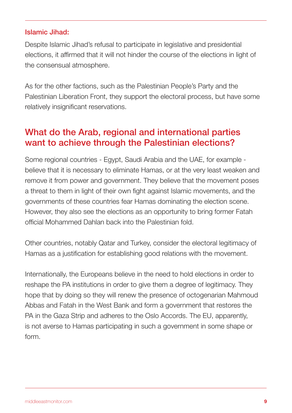#### Islamic Jihad:

Despite Islamic Jihad's refusal to participate in legislative and presidential elections, it affirmed that it will not hinder the course of the elections in light of the consensual atmosphere.

As for the other factions, such as the Palestinian People's Party and the Palestinian Liberation Front, they support the electoral process, but have some relatively insignificant reservations.

#### What do the Arab, regional and international parties want to achieve through the Palestinian elections?

Some regional countries - Egypt, Saudi Arabia and the UAE, for example believe that it is necessary to eliminate Hamas, or at the very least weaken and remove it from power and government. They believe that the movement poses a threat to them in light of their own fight against Islamic movements, and the governments of these countries fear Hamas dominating the election scene. However, they also see the elections as an opportunity to bring former Fatah official Mohammed Dahlan back into the Palestinian fold.

Other countries, notably Qatar and Turkey, consider the electoral legitimacy of Hamas as a justification for establishing good relations with the movement.

Internationally, the Europeans believe in the need to hold elections in order to reshape the PA institutions in order to give them a degree of legitimacy. They hope that by doing so they will renew the presence of octogenarian Mahmoud Abbas and Fatah in the West Bank and form a government that restores the PA in the Gaza Strip and adheres to the Oslo Accords. The EU, apparently, is not averse to Hamas participating in such a government in some shape or form.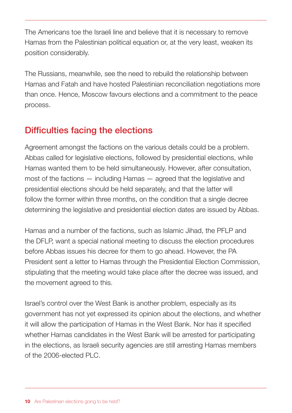The Americans toe the Israeli line and believe that it is necessary to remove Hamas from the Palestinian political equation or, at the very least, weaken its position considerably.

The Russians, meanwhile, see the need to rebuild the relationship between Hamas and Fatah and have hosted Palestinian reconciliation negotiations more than once. Hence, Moscow favours elections and a commitment to the peace process.

# Difficulties facing the elections

Agreement amongst the factions on the various details could be a problem. Abbas called for legislative elections, followed by presidential elections, while Hamas wanted them to be held simultaneously. However, after consultation, most of the factions — including Hamas — agreed that the legislative and presidential elections should be held separately, and that the latter will follow the former within three months, on the condition that a single decree determining the legislative and presidential election dates are issued by Abbas.

Hamas and a number of the factions, such as Islamic Jihad, the PFLP and the DFLP, want a special national meeting to discuss the election procedures before Abbas issues his decree for them to go ahead. However, the PA President sent a letter to Hamas through the Presidential Election Commission, stipulating that the meeting would take place after the decree was issued, and the movement agreed to this.

Israel's control over the West Bank is another problem, especially as its government has not yet expressed its opinion about the elections, and whether it will allow the participation of Hamas in the West Bank. Nor has it specified whether Hamas candidates in the West Bank will be arrested for participating in the elections, as Israeli security agencies are still arresting Hamas members of the 2006-elected PLC.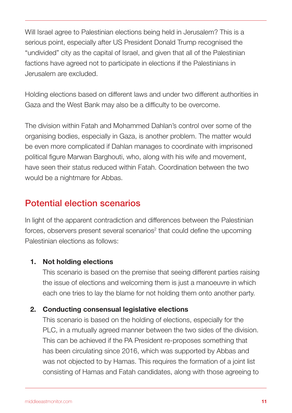Will Israel agree to Palestinian elections being held in Jerusalem? This is a serious point, especially after US President Donald Trump recognised the "undivided" city as the capital of Israel, and given that all of the Palestinian factions have agreed not to participate in elections if the Palestinians in Jerusalem are excluded.

Holding elections based on different laws and under two different authorities in Gaza and the West Bank may also be a difficulty to be overcome.

The division within Fatah and Mohammed Dahlan's control over some of the organising bodies, especially in Gaza, is another problem. The matter would be even more complicated if Dahlan manages to coordinate with imprisoned political figure Marwan Barghouti, who, along with his wife and movement, have seen their status reduced within Fatah. Coordination between the two would be a nightmare for Abbas.

### Potential election scenarios

In light of the apparent contradiction and differences between the Palestinian forces, observers present several scenarios<sup>2</sup> that could define the upcoming Palestinian elections as follows:

#### 1. Not holding elections

This scenario is based on the premise that seeing different parties raising the issue of elections and welcoming them is just a manoeuvre in which each one tries to lay the blame for not holding them onto another party.

#### 2. Conducting consensual legislative elections

This scenario is based on the holding of elections, especially for the PLC, in a mutually agreed manner between the two sides of the division. This can be achieved if the PA President re-proposes something that has been circulating since 2016, which was supported by Abbas and was not objected to by Hamas. This requires the formation of a joint list consisting of Hamas and Fatah candidates, along with those agreeing to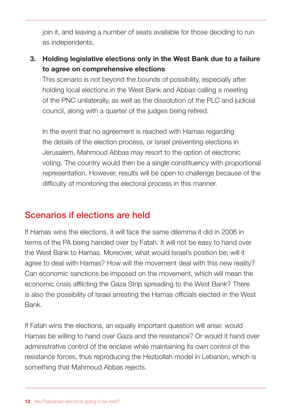join it, and leaving a number of seats available for those deciding to run as independents.

#### 3. Holding legislative elections only in the West Bank due to a failure to agree on comprehensive elections

This scenario is not beyond the bounds of possibility, especially after holding local elections in the West Bank and Abbas calling a meeting of the PNC unilaterally, as well as the dissolution of the PLC and judicial council, along with a quarter of the judges being retired.

In the event that no agreement is reached with Hamas regarding the details of the election process, or Israel preventing elections in Jerusalem, Mahmoud Abbas may resort to the option of electronic voting. The country would then be a single constituency with proportional representation. However, results will be open to challenge because of the difficulty of monitoring the electoral process in this manner.

#### Scenarios if elections are held

If Hamas wins the elections, it will face the same dilemma it did in 2006 in terms of the PA being handed over by Fatah. It will not be easy to hand over the West Bank to Hamas. Moreover, what would Israel's position be; will it agree to deal with Hamas? How will the movement deal with this new reality? Can economic sanctions be imposed on the movement, which will mean the economic crisis afflicting the Gaza Strip spreading to the West Bank? There is also the possibility of Israel arresting the Hamas officials elected in the West Bank.

If Fatah wins the elections, an equally important question will arise: would Hamas be willing to hand over Gaza and the resistance? Or would it hand over administrative control of the enclave while maintaining its own control of the resistance forces, thus reproducing the Hezbollah model in Lebanon, which is something that Mahmoud Abbas rejects.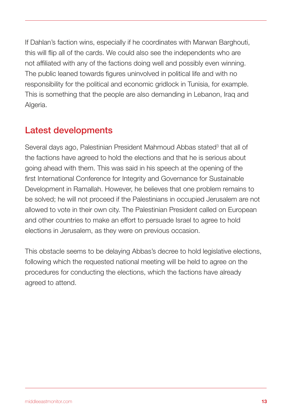If Dahlan's faction wins, especially if he coordinates with Marwan Barghouti, this will flip all of the cards. We could also see the independents who are not affiliated with any of the factions doing well and possibly even winning. The public leaned towards figures uninvolved in political life and with no responsibility for the political and economic gridlock in Tunisia, for example. This is something that the people are also demanding in Lebanon, Iraq and Algeria.

#### Latest developments

Several days ago, Palestinian President Mahmoud Abbas stated<sup>3</sup> that all of the factions have agreed to hold the elections and that he is serious about going ahead with them. This was said in his speech at the opening of the first International Conference for Integrity and Governance for Sustainable Development in Ramallah. However, he believes that one problem remains to be solved; he will not proceed if the Palestinians in occupied Jerusalem are not allowed to vote in their own city. The Palestinian President called on European and other countries to make an effort to persuade Israel to agree to hold elections in Jerusalem, as they were on previous occasion.

This obstacle seems to be delaying Abbas's decree to hold legislative elections, following which the requested national meeting will be held to agree on the procedures for conducting the elections, which the factions have already agreed to attend.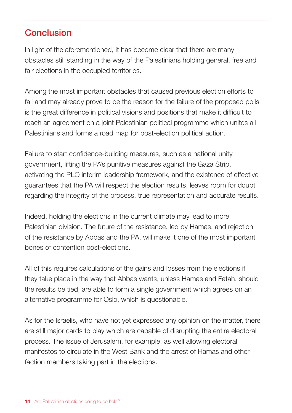## Conclusion

In light of the aforementioned, it has become clear that there are many obstacles still standing in the way of the Palestinians holding general, free and fair elections in the occupied territories.

Among the most important obstacles that caused previous election efforts to fail and may already prove to be the reason for the failure of the proposed polls is the great difference in political visions and positions that make it difficult to reach an agreement on a joint Palestinian political programme which unites all Palestinians and forms a road map for post-election political action.

Failure to start confidence-building measures, such as a national unity government, lifting the PA's punitive measures against the Gaza Strip, activating the PLO interim leadership framework, and the existence of effective guarantees that the PA will respect the election results, leaves room for doubt regarding the integrity of the process, true representation and accurate results.

Indeed, holding the elections in the current climate may lead to more Palestinian division. The future of the resistance, led by Hamas, and rejection of the resistance by Abbas and the PA, will make it one of the most important bones of contention post-elections.

All of this requires calculations of the gains and losses from the elections if they take place in the way that Abbas wants, unless Hamas and Fatah, should the results be tied, are able to form a single government which agrees on an alternative programme for Oslo, which is questionable.

As for the Israelis, who have not yet expressed any opinion on the matter, there are still major cards to play which are capable of disrupting the entire electoral process. The issue of Jerusalem, for example, as well allowing electoral manifestos to circulate in the West Bank and the arrest of Hamas and other faction members taking part in the elections.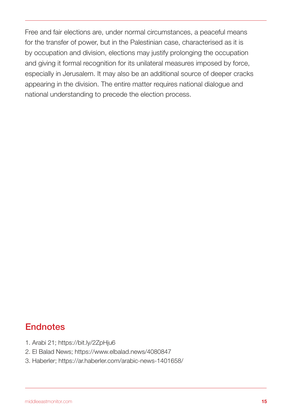Free and fair elections are, under normal circumstances, a peaceful means for the transfer of power, but in the Palestinian case, characterised as it is by occupation and division, elections may justify prolonging the occupation and giving it formal recognition for its unilateral measures imposed by force, especially in Jerusalem. It may also be an additional source of deeper cracks appearing in the division. The entire matter requires national dialogue and national understanding to precede the election process.

# **Endnotes**

- 1. Arabi 21; https://bit.ly/2ZpHju6
- 2. El Balad News; https://www.elbalad.news/4080847
- 3. Haberler; https://ar.haberler.com/arabic-news-1401658/